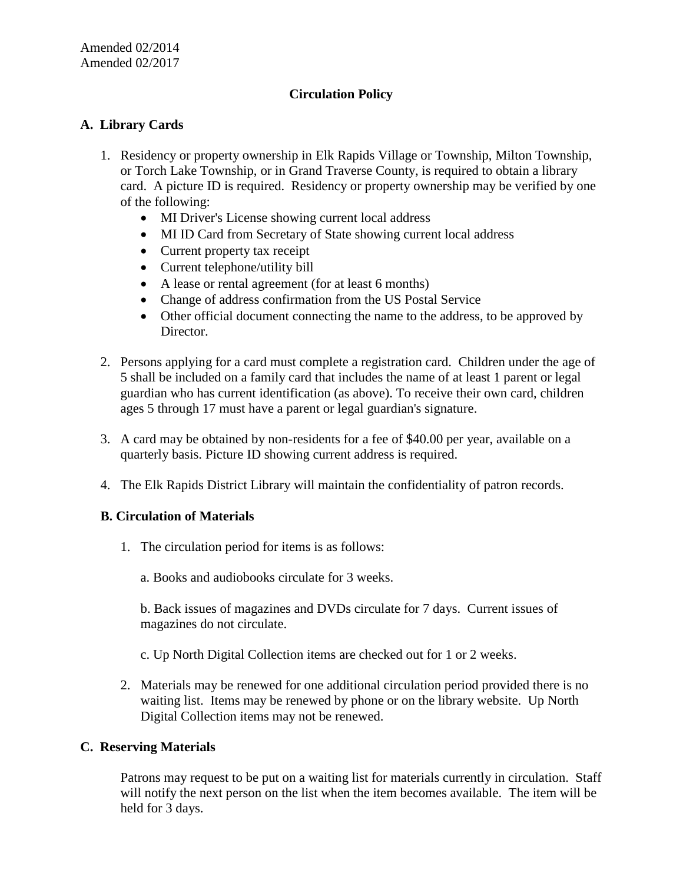# **Circulation Policy**

# **A. Library Cards**

- 1. Residency or property ownership in Elk Rapids Village or Township, Milton Township, or Torch Lake Township, or in Grand Traverse County, is required to obtain a library card. A picture ID is required. Residency or property ownership may be verified by one of the following:
	- MI Driver's License showing current local address
	- MI ID Card from Secretary of State showing current local address
	- Current property tax receipt
	- Current telephone/utility bill
	- A lease or rental agreement (for at least 6 months)
	- Change of address confirmation from the US Postal Service
	- Other official document connecting the name to the address, to be approved by Director.
- 2. Persons applying for a card must complete a registration card. Children under the age of 5 shall be included on a family card that includes the name of at least 1 parent or legal guardian who has current identification (as above). To receive their own card, children ages 5 through 17 must have a parent or legal guardian's signature.
- 3. A card may be obtained by non-residents for a fee of \$40.00 per year, available on a quarterly basis. Picture ID showing current address is required.
- 4. The Elk Rapids District Library will maintain the confidentiality of patron records.

### **B. Circulation of Materials**

- 1. The circulation period for items is as follows:
	- a. Books and audiobooks circulate for 3 weeks.

b. Back issues of magazines and DVDs circulate for 7 days. Current issues of magazines do not circulate.

- c. Up North Digital Collection items are checked out for 1 or 2 weeks.
- 2. Materials may be renewed for one additional circulation period provided there is no waiting list. Items may be renewed by phone or on the library website. Up North Digital Collection items may not be renewed.

### **C. Reserving Materials**

Patrons may request to be put on a waiting list for materials currently in circulation. Staff will notify the next person on the list when the item becomes available. The item will be held for 3 days.